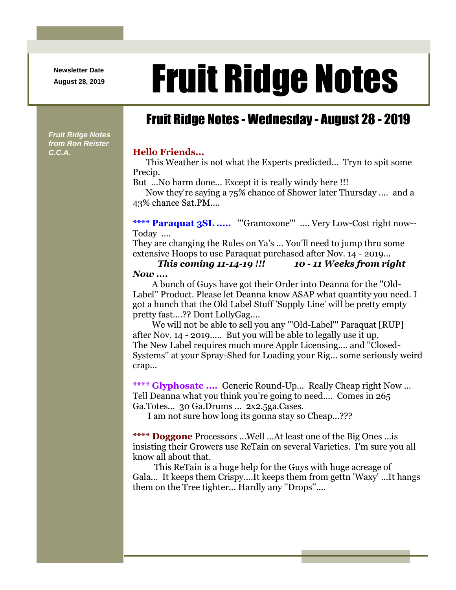**Newsletter Date**

*Fruit Ridge Notes from Ron Reister* 

## August 28, 2019 **Fruit Ridge Notes**

## Fruit Ridge Notes - Wednesday - August 28 - 2019

*C.C.A.* **Hello Friends...**

This Weather is not what the Experts predicted... Tryn to spit some Precip.

But ...No harm done... Except it is really windy here !!!

Now they're saying a 75% chance of Shower later Thursday .... and a 43% chance Sat.PM....

\*\*\*\* Paraquat 3SL ..... "'Gramoxone'" .... Very Low-Cost right now--Today ....

They are changing the Rules on Ya's ... You'll need to jump thru some extensive Hoops to use Paraquat purchased after Nov. 14 - 2019...

*This coming 11-14-19 !!! 10 - 11 Weeks from right Now ....*

A bunch of Guys have got their Order into Deanna for the ''Old-Label'' Product. Please let Deanna know ASAP what quantity you need. I got a hunch that the Old Label Stuff 'Supply Line' will be pretty empty pretty fast....?? Dont LollyGag....

We will not be able to sell you any "'Old-Label'" Paraquat [RUP] after Nov. 14 - 2019..... But you will be able to legally use it up. The New Label requires much more Applr Licensing.... and ''Closed-Systems'' at your Spray-Shed for Loading your Rig... some seriously weird crap...

**\*\*\*\* Glyphosate ....** Generic Round-Up... Really Cheap right Now ... Tell Deanna what you think you're going to need.... Comes in 265 Ga.Totes... 30 Ga.Drums ... 2x2.5ga.Cases.

I am not sure how long its gonna stay so Cheap...???

**\*\*\*\* Doggone** Processors ...Well ...At least one of the Big Ones ...is insisting their Growers use ReTain on several Varieties. I'm sure you all know all about that.

This ReTain is a huge help for the Guys with huge acreage of Gala... It keeps them Crispy....It keeps them from gettn 'Waxy' ...It hangs them on the Tree tighter... Hardly any ''Drops''....